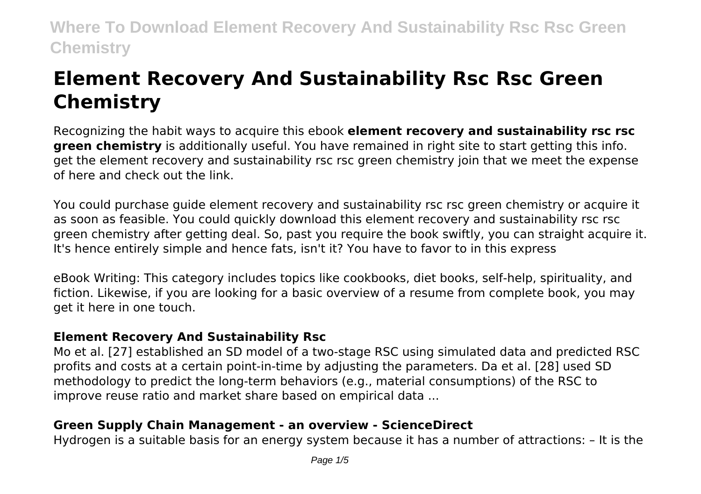# **Element Recovery And Sustainability Rsc Rsc Green Chemistry**

Recognizing the habit ways to acquire this ebook **element recovery and sustainability rsc rsc green chemistry** is additionally useful. You have remained in right site to start getting this info. get the element recovery and sustainability rsc rsc green chemistry join that we meet the expense of here and check out the link.

You could purchase guide element recovery and sustainability rsc rsc green chemistry or acquire it as soon as feasible. You could quickly download this element recovery and sustainability rsc rsc green chemistry after getting deal. So, past you require the book swiftly, you can straight acquire it. It's hence entirely simple and hence fats, isn't it? You have to favor to in this express

eBook Writing: This category includes topics like cookbooks, diet books, self-help, spirituality, and fiction. Likewise, if you are looking for a basic overview of a resume from complete book, you may get it here in one touch.

# **Element Recovery And Sustainability Rsc**

Mo et al. [27] established an SD model of a two-stage RSC using simulated data and predicted RSC profits and costs at a certain point-in-time by adjusting the parameters. Da et al. [28] used SD methodology to predict the long-term behaviors (e.g., material consumptions) of the RSC to improve reuse ratio and market share based on empirical data ...

# **Green Supply Chain Management - an overview - ScienceDirect**

Hydrogen is a suitable basis for an energy system because it has a number of attractions: – It is the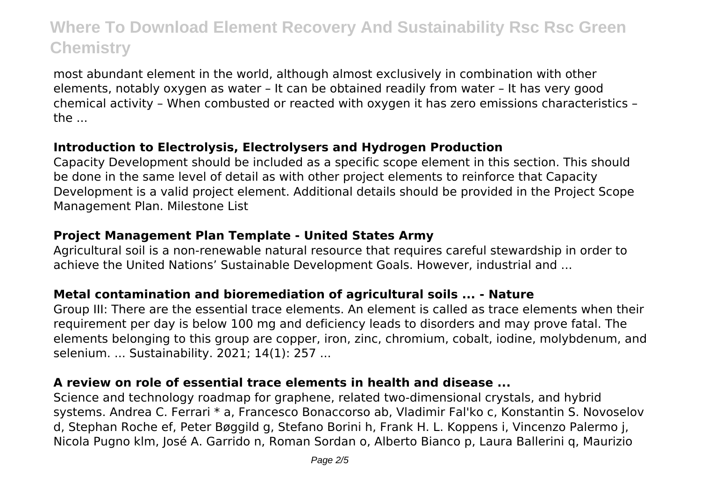most abundant element in the world, although almost exclusively in combination with other elements, notably oxygen as water – It can be obtained readily from water – It has very good chemical activity – When combusted or reacted with oxygen it has zero emissions characteristics – the ...

#### **Introduction to Electrolysis, Electrolysers and Hydrogen Production**

Capacity Development should be included as a specific scope element in this section. This should be done in the same level of detail as with other project elements to reinforce that Capacity Development is a valid project element. Additional details should be provided in the Project Scope Management Plan. Milestone List

# **Project Management Plan Template - United States Army**

Agricultural soil is a non-renewable natural resource that requires careful stewardship in order to achieve the United Nations' Sustainable Development Goals. However, industrial and ...

# **Metal contamination and bioremediation of agricultural soils ... - Nature**

Group III: There are the essential trace elements. An element is called as trace elements when their requirement per day is below 100 mg and deficiency leads to disorders and may prove fatal. The elements belonging to this group are copper, iron, zinc, chromium, cobalt, iodine, molybdenum, and selenium. ... Sustainability. 2021; 14(1): 257 ...

# **A review on role of essential trace elements in health and disease ...**

Science and technology roadmap for graphene, related two-dimensional crystals, and hybrid systems. Andrea C. Ferrari \* a, Francesco Bonaccorso ab, Vladimir Fal'ko c, Konstantin S. Novoselov d, Stephan Roche ef, Peter Bøggild g, Stefano Borini h, Frank H. L. Koppens i, Vincenzo Palermo j, Nicola Pugno klm, José A. Garrido n, Roman Sordan o, Alberto Bianco p, Laura Ballerini q, Maurizio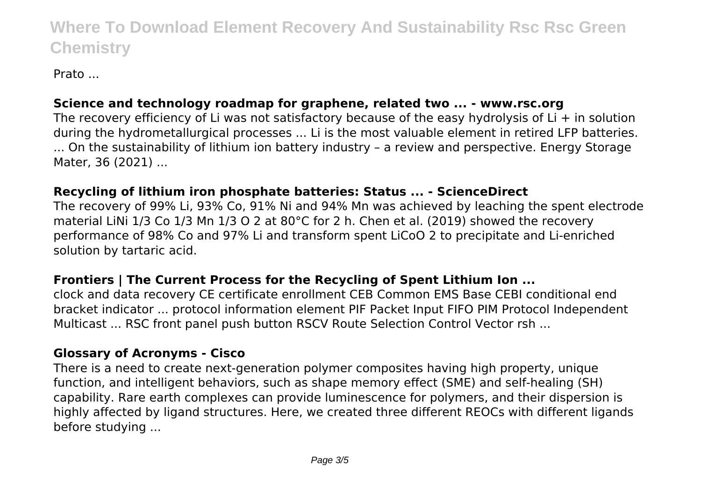Prato ...

# **Science and technology roadmap for graphene, related two ... - www.rsc.org**

The recovery efficiency of Li was not satisfactory because of the easy hydrolysis of Li + in solution during the hydrometallurgical processes ... Li is the most valuable element in retired LFP batteries. ... On the sustainability of lithium ion battery industry – a review and perspective. Energy Storage Mater, 36 (2021) ...

# **Recycling of lithium iron phosphate batteries: Status ... - ScienceDirect**

The recovery of 99% Li, 93% Co, 91% Ni and 94% Mn was achieved by leaching the spent electrode material LiNi 1/3 Co 1/3 Mn 1/3 O 2 at 80°C for 2 h. Chen et al. (2019) showed the recovery performance of 98% Co and 97% Li and transform spent LiCoO 2 to precipitate and Li-enriched solution by tartaric acid.

# **Frontiers | The Current Process for the Recycling of Spent Lithium Ion ...**

clock and data recovery CE certificate enrollment CEB Common EMS Base CEBI conditional end bracket indicator ... protocol information element PIF Packet Input FIFO PIM Protocol Independent Multicast ... RSC front panel push button RSCV Route Selection Control Vector rsh ...

#### **Glossary of Acronyms - Cisco**

There is a need to create next-generation polymer composites having high property, unique function, and intelligent behaviors, such as shape memory effect (SME) and self-healing (SH) capability. Rare earth complexes can provide luminescence for polymers, and their dispersion is highly affected by ligand structures. Here, we created three different REOCs with different ligands before studying ...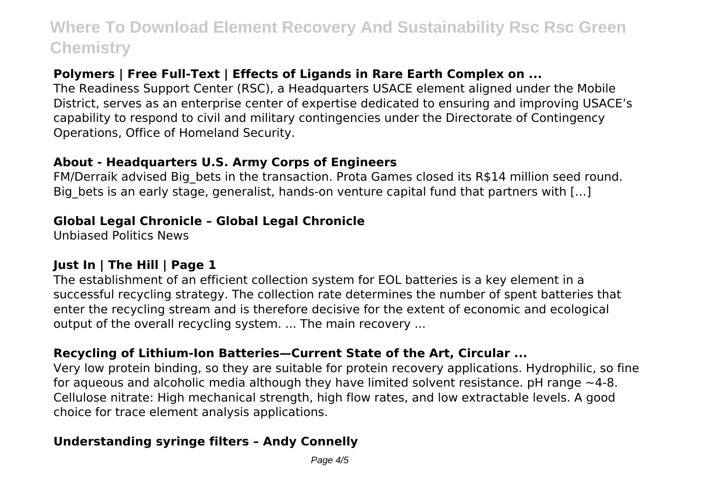# **Polymers | Free Full-Text | Effects of Ligands in Rare Earth Complex on ...**

The Readiness Support Center (RSC), a Headquarters USACE element aligned under the Mobile District, serves as an enterprise center of expertise dedicated to ensuring and improving USACE's capability to respond to civil and military contingencies under the Directorate of Contingency Operations, Office of Homeland Security.

#### **About - Headquarters U.S. Army Corps of Engineers**

FM/Derraik advised Big bets in the transaction. Prota Games closed its R\$14 million seed round. Big bets is an early stage, generalist, hands-on venture capital fund that partners with [...]

# **Global Legal Chronicle – Global Legal Chronicle**

Unbiased Politics News

# **Just In | The Hill | Page 1**

The establishment of an efficient collection system for EOL batteries is a key element in a successful recycling strategy. The collection rate determines the number of spent batteries that enter the recycling stream and is therefore decisive for the extent of economic and ecological output of the overall recycling system. ... The main recovery ...

# **Recycling of Lithium-Ion Batteries—Current State of the Art, Circular ...**

Very low protein binding, so they are suitable for protein recovery applications. Hydrophilic, so fine for aqueous and alcoholic media although they have limited solvent resistance. pH range  $\sim$ 4-8. Cellulose nitrate: High mechanical strength, high flow rates, and low extractable levels. A good choice for trace element analysis applications.

# **Understanding syringe filters – Andy Connelly**